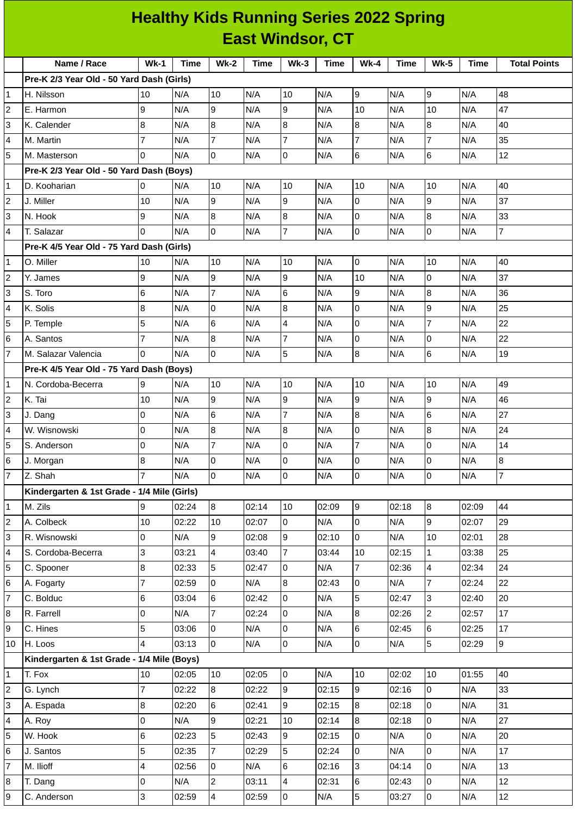| <b>Healthy Kids Running Series 2022 Spring</b> |                                             |                         |             |                 |             |                          |       |                |       |                |             |                     |
|------------------------------------------------|---------------------------------------------|-------------------------|-------------|-----------------|-------------|--------------------------|-------|----------------|-------|----------------|-------------|---------------------|
|                                                | <b>East Windsor, CT</b>                     |                         |             |                 |             |                          |       |                |       |                |             |                     |
|                                                | Name / Race                                 | $Wk-1$                  | <b>Time</b> | <b>Wk-2</b>     | <b>Time</b> | $Wk-3$                   | Time  | $Wk-4$         | Time  | <b>Wk-5</b>    | <b>Time</b> | <b>Total Points</b> |
|                                                | Pre-K 2/3 Year Old - 50 Yard Dash (Girls)   |                         |             |                 |             |                          |       |                |       |                |             |                     |
| 1                                              | H. Nilsson                                  | 10                      | N/A         | 10              | N/A         | 10                       | N/A   | 9              | N/A   | 9              | N/A         | 48                  |
| $\overline{2}$                                 | E. Harmon                                   | 9                       | N/A         | 9               | N/A         | $\overline{9}$           | N/A   | 10             | N/A   | 10             | N/A         | 47                  |
| 3                                              | K. Calender                                 | 8                       | N/A         | $\overline{8}$  | N/A         | 8                        | N/A   | 8              | N/A   | 8              | N/A         | 40                  |
| $\overline{4}$                                 | M. Martin                                   | $\overline{7}$          | N/A         | $\overline{7}$  | N/A         | $\overline{7}$           | N/A   | 7              | N/A   | 7              | N/A         | 35                  |
| 5                                              | M. Masterson                                | $\Omega$                | N/A         | Iо              | N/A         | $\overline{0}$           | N/A   | $6\phantom{a}$ | N/A   | 6              | N/A         | 12                  |
|                                                | Pre-K 2/3 Year Old - 50 Yard Dash (Boys)    |                         |             |                 |             |                          |       |                |       |                |             |                     |
| $\mathbf{1}$                                   | D. Kooharian                                | 0                       | N/A         | 10              | N/A         | 10                       | N/A   | 10             | N/A   | 10             | N/A         | 40                  |
| $\overline{2}$                                 | J. Miller                                   | 10                      | N/A         | g               | N/A         | 9                        | N/A   | $\mathbf 0$    | N/A   | 9              | N/A         | 37                  |
| 3                                              | N. Hook                                     | 9                       | N/A         | $\overline{8}$  | N/A         | 8                        | N/A   | 0              | N/A   | 8              | N/A         | 33                  |
| $\overline{4}$                                 | T. Salazar                                  | $\overline{0}$          | N/A         | l0              | N/A         | $\overline{7}$           | N/A   | 0              | N/A   | 0              | N/A         | $\overline{7}$      |
|                                                | Pre-K 4/5 Year Old - 75 Yard Dash (Girls)   |                         |             |                 |             |                          |       |                |       |                |             |                     |
| $\mathbf{1}$                                   | O. Miller                                   | 10                      | N/A         | 10              | N/A         | 10                       | N/A   | 0              | N/A   | 10             | N/A         | 40                  |
| $\overline{2}$                                 | Y. James                                    | 9                       | N/A         | g               | N/A         | $\overline{9}$           | N/A   | 10             | N/A   | 0              | N/A         | 37                  |
| 3                                              | S. Toro                                     | $6\phantom{.}6$         | N/A         | $\overline{7}$  | N/A         | $6\phantom{1}6$          | N/A   | 9              | N/A   | 8              | N/A         | 36                  |
| $\overline{4}$                                 | K. Solis                                    | $\bf{8}$                | N/A         | 0               | N/A         | $\bf{8}$                 | N/A   | 0              | N/A   | 9              | N/A         | 25                  |
| 5                                              |                                             | 5                       | N/A         | $6\phantom{.}6$ | N/A         | $\overline{4}$           | N/A   | 0              | N/A   | $\overline{7}$ | N/A         | 22                  |
|                                                | P. Temple<br>A. Santos                      | 7                       | N/A         | 8               | N/A         | $\overline{7}$           | N/A   | 0              | N/A   | 0              | N/A         | 22                  |
| 6<br>$\overline{7}$                            | M. Salazar Valencia                         | $\overline{0}$          | N/A         | l0              |             | 5                        |       | 8              |       |                |             | 19                  |
|                                                |                                             |                         |             |                 | N/A         |                          | N/A   |                | N/A   | 6              | N/A         |                     |
|                                                | Pre-K 4/5 Year Old - 75 Yard Dash (Boys)    |                         |             |                 |             |                          |       |                |       |                |             |                     |
| $\mathbf{1}$<br>$\overline{2}$                 | N. Cordoba-Becerra                          | 9                       | N/A         | 10              | N/A         | 10                       | N/A   | 10<br>9        | N/A   | 10             | N/A         | 49                  |
|                                                | K. Tai                                      | 10                      | N/A         | 9               | N/A         | $\overline{9}$           | N/A   |                | N/A   | 9              | N/A         | 46                  |
| 3                                              | J. Dang                                     | 0                       | N/A         | $6\phantom{.}6$ | N/A         | $\overline{7}$           | N/A   | 8              | N/A   | 6              | N/A         | 27                  |
| 4                                              | W. Wisnowski                                | <sup>o</sup>            | N/A         | 8               | N/A         | 8                        | N/A   | 10             | N/A   | 8              | N/A         | 24                  |
| 5                                              | S. Anderson                                 | 0                       | N/A         | $\overline{7}$  | N/A         | $\overline{0}$           | N/A   | $\overline{7}$ | N/A   | 0              | N/A         | 14                  |
| 6                                              | J. Morgan                                   | 8                       | N/A         | l0              | N/A         | l0                       | N/A   | 0              | N/A   | 0              | N/A         | 8                   |
| $\overline{7}$                                 | Z. Shah                                     | $\overline{7}$          | N/A         | 0               | N/A         | $\pmb{0}$                | N/A   | 0              | N/A   | 0              | N/A         | $\overline{7}$      |
|                                                | Kindergarten & 1st Grade - 1/4 Mile (Girls) |                         |             |                 |             |                          |       |                |       |                |             |                     |
| 1                                              | M. Zils                                     | 9                       | 02:24       | 8               | 02:14       | 10                       | 02:09 | 9              | 02:18 | 8              | 02:09       | 44                  |
| $\overline{2}$                                 | A. Colbeck                                  | 10                      | 02:22       | 10              | 02:07       | l0                       | N/A   | $\overline{0}$ | N/A   | 9              | 02:07       | 29                  |
| 3                                              | R. Wisnowski                                | 0                       | N/A         | 9               | 02:08       | 9                        | 02:10 | 0              | N/A   | 10             | 02:01       | 28                  |
| $\overline{4}$                                 | S. Cordoba-Becerra                          | 3                       | 03:21       | $\overline{4}$  | 03:40       | $\overline{7}$           | 03:44 | 10             | 02:15 | 1              | 03:38       | 25                  |
| 5                                              | C. Spooner                                  | $\bf{8}$                | 02:33       | 5               | 02:47       | $\mathsf 0$              | N/A   | $\overline{7}$ | 02:36 | 4              | 02:34       | 24                  |
| 6                                              | A. Fogarty                                  | $\overline{7}$          | 02:59       | 0               | N/A         | 8                        | 02:43 | 0              | N/A   | $\overline{7}$ | 02:24       | 22                  |
| 17                                             | C. Bolduc                                   | $\,6$                   | 03:04       | 6               | 02:42       | $\mathsf 0$              | N/A   | 5              | 02:47 | 3              | 02:40       | 20                  |
| 8                                              | R. Farrell                                  | 0                       | N/A         | 7               | 02:24       | l0                       | N/A   | $\bf{8}$       | 02:26 | $\overline{c}$ | 02:57       | 17                  |
| 9                                              | C. Hines                                    | 5                       | 03:06       | l0              | N/A         | 0                        | N/A   | 6              | 02:45 | 6              | 02:25       | 17                  |
| 10                                             | H. Loos                                     | 4                       | 03:13       | 0               | N/A         | $\mathsf 0$              | N/A   | 0              | N/A   | 5              | 02:29       | 9                   |
|                                                | Kindergarten & 1st Grade - 1/4 Mile (Boys)  |                         |             |                 |             |                          |       |                |       |                |             |                     |
| 1                                              | T. Fox                                      | 10                      | 02:05       | 10              | 02:05       | l0                       | N/A   | 10             | 02:02 | $10\,$         | 01:55       | 40                  |
| $\overline{2}$                                 | G. Lynch                                    | $\overline{7}$          | 02:22       | $\overline{8}$  | 02:22       | 9                        | 02:15 | $\overline{9}$ | 02:16 | 0              | N/A         | 33                  |
| 3                                              | A. Espada                                   | 8                       | 02:20       | $6\phantom{.}$  | 02:41       | 9                        | 02:15 | 8              | 02:18 | 0              | N/A         | 31                  |
| $\overline{4}$                                 | A. Roy                                      | $\mathsf 0$             | N/A         | 9               | 02:21       | 10                       | 02:14 | 8              | 02:18 | 0              | N/A         | 27                  |
| 5                                              | W. Hook                                     | 6                       | 02:23       | 5               | 02:43       | 9                        | 02:15 | 0              | N/A   | 0              | N/A         | 20                  |
| 6                                              | J. Santos                                   | 5                       | 02:35       | $\overline{7}$  | 02:29       | 5                        | 02:24 | 0              | N/A   | 0              | N/A         | 17                  |
| 17                                             | M. Ilioff                                   | $\overline{\mathbf{4}}$ | 02:56       | $\pmb{0}$       | N/A         | 6                        | 02:16 | 3              | 04:14 | 0              | N/A         | 13                  |
| 8                                              | T. Dang                                     | 0                       | N/A         | $\mathbf{2}$    | 03:11       | $\overline{\mathcal{L}}$ | 02:31 | 6              | 02:43 | 0              | N/A         | 12                  |
| 9                                              | C. Anderson                                 | $\overline{3}$          | 02:59       | $\overline{a}$  | 02:59       | 0                        | N/A   | 5              | 03:27 | 0              | N/A         | 12                  |